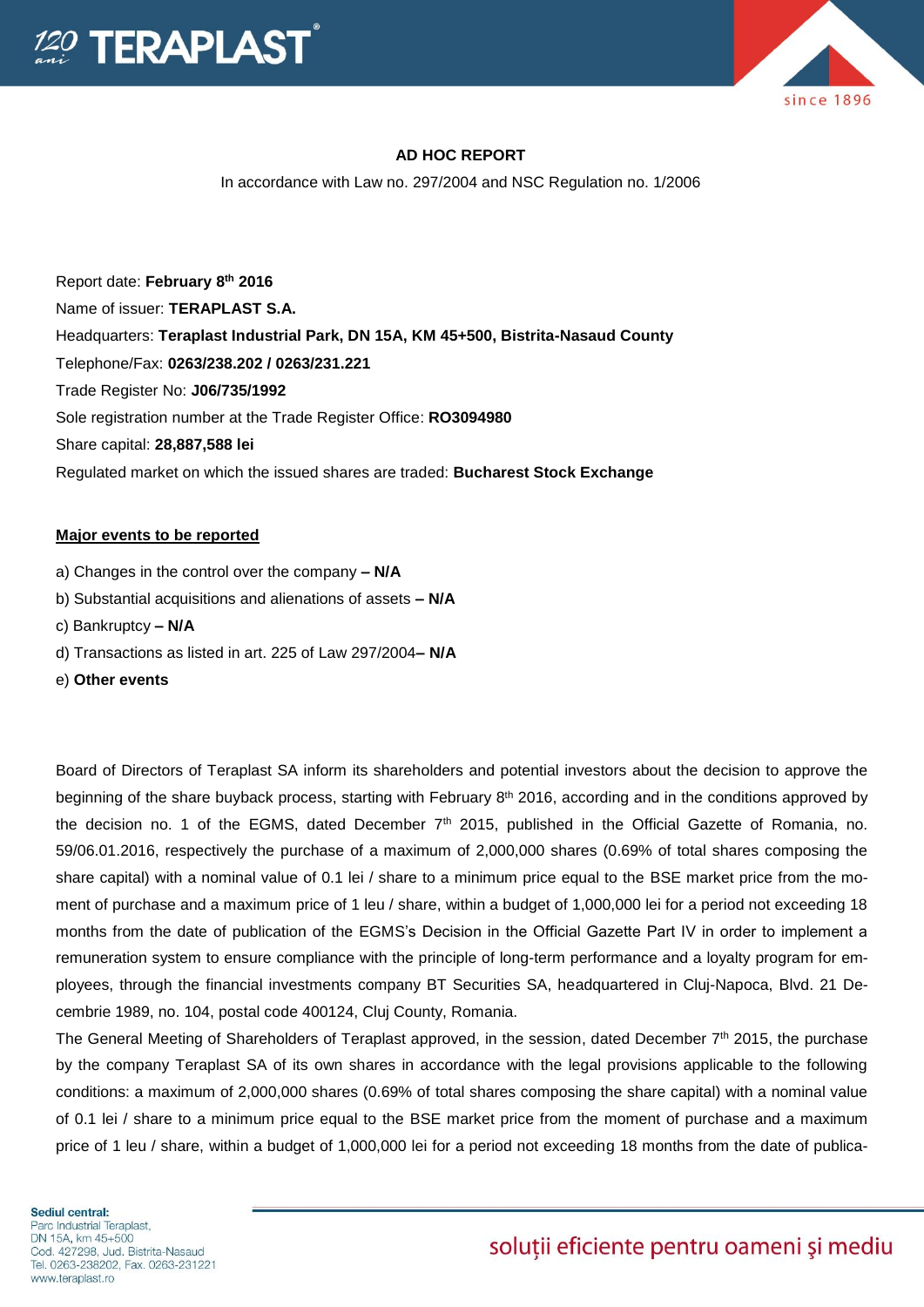

# **AD HOC REPORT**

In accordance with Law no. 297/2004 and NSC Regulation no. 1/2006

Report date: **February 8th 2016** Name of issuer: **TERAPLAST S.A.**  Headquarters: **Teraplast Industrial Park, DN 15A, KM 45+500, Bistrita-Nasaud County** Telephone/Fax: **0263/238.202 / 0263/231.221** Trade Register No: **J06/735/1992** Sole registration number at the Trade Register Office: **RO3094980** Share capital: **28,887,588 lei** Regulated market on which the issued shares are traded: **Bucharest Stock Exchange**

#### **Major events to be reported**

- a) Changes in the control over the company **– N/A**
- b) Substantial acquisitions and alienations of assets **– N/A**
- c) Bankruptcy **– N/A**
- d) Transactions as listed in art. 225 of Law 297/2004**– N/A**
- e) **Other events**

Board of Directors of Teraplast SA inform its shareholders and potential investors about the decision to approve the beginning of the share buyback process, starting with February 8<sup>th</sup> 2016, according and in the conditions approved by the decision no. 1 of the EGMS, dated December  $7<sup>th</sup>$  2015, published in the Official Gazette of Romania, no. 59/06.01.2016, respectively the purchase of a maximum of 2,000,000 shares (0.69% of total shares composing the share capital) with a nominal value of 0.1 lei / share to a minimum price equal to the BSE market price from the moment of purchase and a maximum price of 1 leu / share, within a budget of 1,000,000 lei for a period not exceeding 18 months from the date of publication of the EGMS's Decision in the Official Gazette Part IV in order to implement a remuneration system to ensure compliance with the principle of long-term performance and a loyalty program for employees, through the financial investments company BT Securities SA, headquartered in Cluj-Napoca, Blvd. 21 Decembrie 1989, no. 104, postal code 400124, Cluj County, Romania.

The General Meeting of Shareholders of Teraplast approved, in the session, dated December  $7<sup>th</sup>$  2015, the purchase by the company Teraplast SA of its own shares in accordance with the legal provisions applicable to the following conditions: a maximum of 2,000,000 shares (0.69% of total shares composing the share capital) with a nominal value of 0.1 lei / share to a minimum price equal to the BSE market price from the moment of purchase and a maximum price of 1 leu / share, within a budget of 1,000,000 lei for a period not exceeding 18 months from the date of publica-

# soluții eficiente pentru oameni și mediu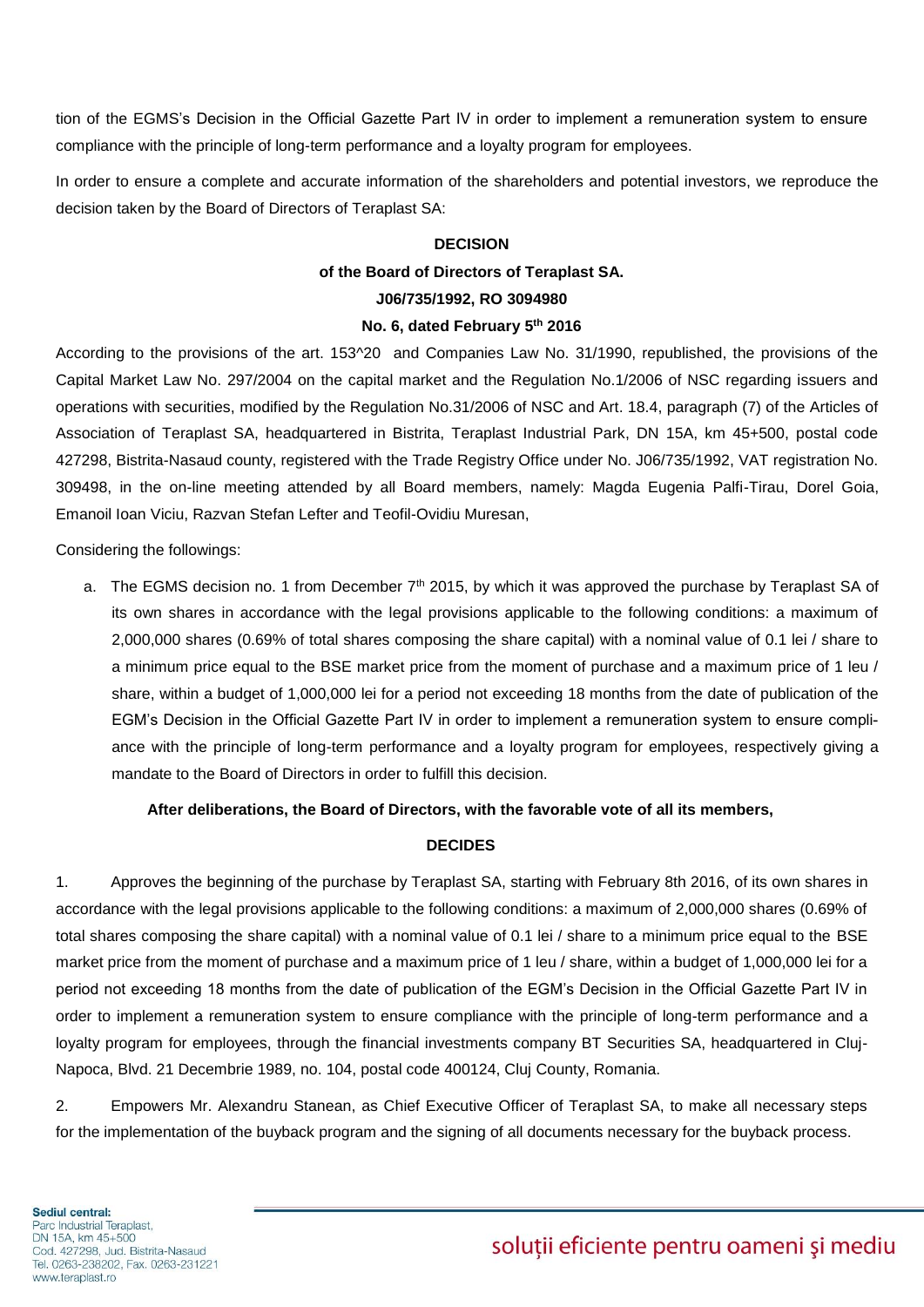tion of the EGMS's Decision in the Official Gazette Part IV in order to implement a remuneration system to ensure compliance with the principle of long-term performance and a loyalty program for employees.

In order to ensure a complete and accurate information of the shareholders and potential investors, we reproduce the decision taken by the Board of Directors of Teraplast SA:

#### **DECISION**

# **of the Board of Directors of Teraplast SA.**

#### **J06/735/1992, RO 3094980**

#### **No. 6, dated February 5th 2016**

According to the provisions of the art. 153^20 and Companies Law No. 31/1990, republished, the provisions of the Capital Market Law No. 297/2004 on the capital market and the Regulation No.1/2006 of NSC regarding issuers and operations with securities, modified by the Regulation No.31/2006 of NSC and Art. 18.4, paragraph (7) of the Articles of Association of Teraplast SA, headquartered in Bistrita, Teraplast Industrial Park, DN 15A, km 45+500, postal code 427298, Bistrita-Nasaud county, registered with the Trade Registry Office under No. J06/735/1992, VAT registration No. 309498, in the on-line meeting attended by all Board members, namely: Magda Eugenia Palfi-Tirau, Dorel Goia, Emanoil Ioan Viciu, Razvan Stefan Lefter and Teofil-Ovidiu Muresan,

Considering the followings:

a. The EGMS decision no. 1 from December 7<sup>th</sup> 2015, by which it was approved the purchase by Teraplast SA of its own shares in accordance with the legal provisions applicable to the following conditions: a maximum of 2,000,000 shares (0.69% of total shares composing the share capital) with a nominal value of 0.1 lei / share to a minimum price equal to the BSE market price from the moment of purchase and a maximum price of 1 leu / share, within a budget of 1,000,000 lei for a period not exceeding 18 months from the date of publication of the EGM's Decision in the Official Gazette Part IV in order to implement a remuneration system to ensure compliance with the principle of long-term performance and a loyalty program for employees, respectively giving a mandate to the Board of Directors in order to fulfill this decision.

#### **After deliberations, the Board of Directors, with the favorable vote of all its members,**

#### **DECIDES**

1. Approves the beginning of the purchase by Teraplast SA, starting with February 8th 2016, of its own shares in accordance with the legal provisions applicable to the following conditions: a maximum of 2,000,000 shares (0.69% of total shares composing the share capital) with a nominal value of 0.1 lei / share to a minimum price equal to the BSE market price from the moment of purchase and a maximum price of 1 leu / share, within a budget of 1,000,000 lei for a period not exceeding 18 months from the date of publication of the EGM's Decision in the Official Gazette Part IV in order to implement a remuneration system to ensure compliance with the principle of long-term performance and a loyalty program for employees, through the financial investments company BT Securities SA, headquartered in Cluj-Napoca, Blvd. 21 Decembrie 1989, no. 104, postal code 400124, Cluj County, Romania.

2. Empowers Mr. Alexandru Stanean, as Chief Executive Officer of Teraplast SA, to make all necessary steps for the implementation of the buyback program and the signing of all documents necessary for the buyback process.